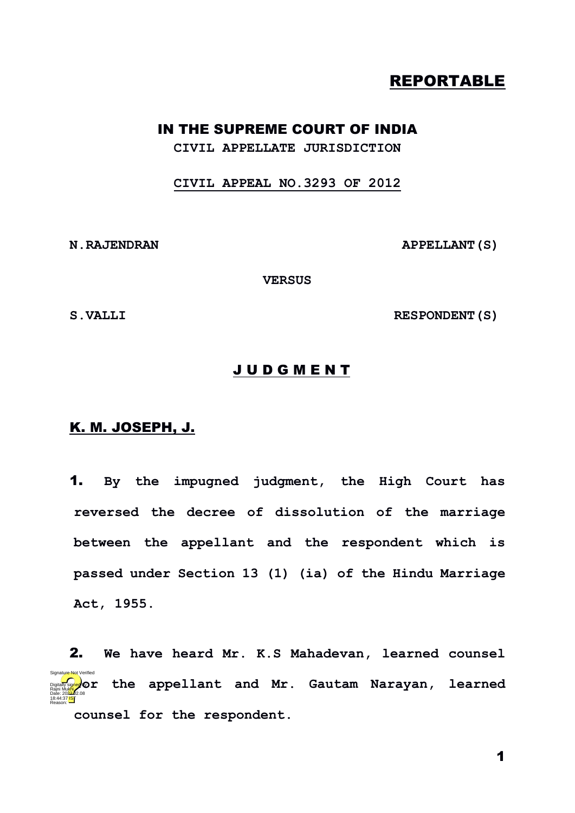## REPORTABLE

## IN THE SUPREME COURT OF INDIA

**CIVIL APPELLATE JURISDICTION**

**CIVIL APPEAL NO.3293 OF 2012**

**N.RAJENDRAN APPELLANT(S)**

**VERSUS**

S. VALLI RESPONDENT (S)

## J U D G M E N T

## K. M. JOSEPH, J.

1. **By the impugned judgment, the High Court has reversed the decree of dissolution of the marriage between the appellant and the respondent which is passed under Section 13 (1) (ia) of the Hindu Marriage Act, 1955.**

2. **We have heard Mr. K.S Mahadevan, learned counsel figurally signed</mark> or the appellant and Mr. Gautam Narayan, learned**<br>Bale: 2022.08 **counsel for the respondent.** 18:44:37 IST Reason: Signature Not Verified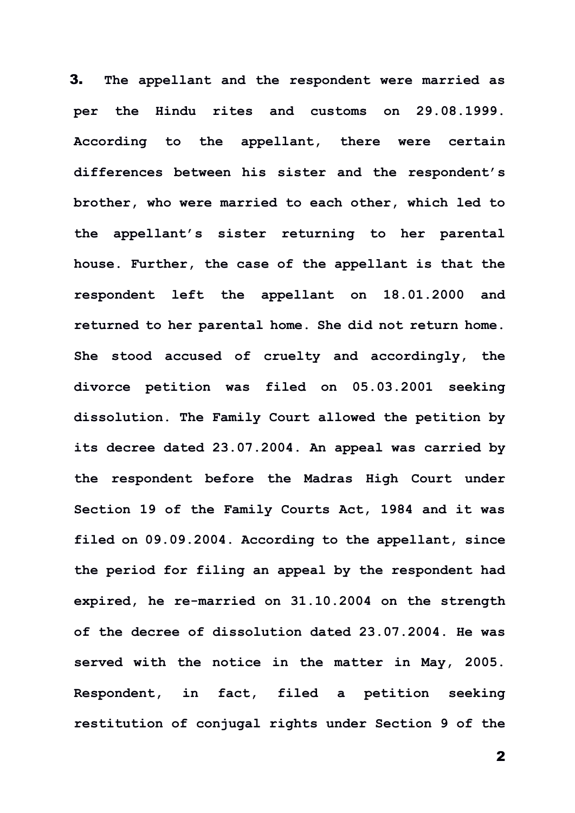3. **The appellant and the respondent were married as per the Hindu rites and customs on 29.08.1999. According to the appellant, there were certain differences between his sister and the respondent's brother, who were married to each other, which led to the appellant's sister returning to her parental house. Further, the case of the appellant is that the respondent left the appellant on 18.01.2000 and returned to her parental home. She did not return home. She stood accused of cruelty and accordingly, the divorce petition was filed on 05.03.2001 seeking dissolution. The Family Court allowed the petition by its decree dated 23.07.2004. An appeal was carried by the respondent before the Madras High Court under Section 19 of the Family Courts Act, 1984 and it was filed on 09.09.2004. According to the appellant, since the period for filing an appeal by the respondent had expired, he re-married on 31.10.2004 on the strength of the decree of dissolution dated 23.07.2004. He was served with the notice in the matter in May, 2005. Respondent, in fact, filed a petition seeking restitution of conjugal rights under Section 9 of the**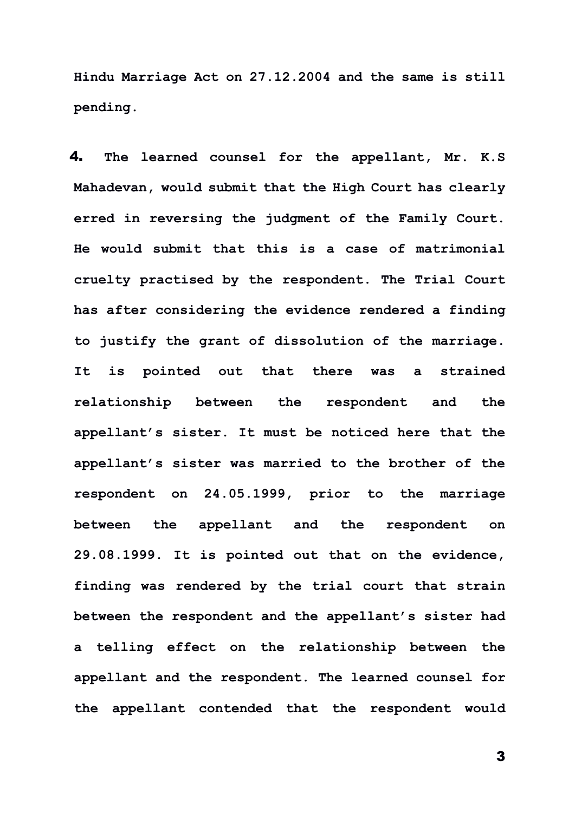**Hindu Marriage Act on 27.12.2004 and the same is still pending.**

4. **The learned counsel for the appellant, Mr. K.S Mahadevan, would submit that the High Court has clearly erred in reversing the judgment of the Family Court. He would submit that this is a case of matrimonial cruelty practised by the respondent. The Trial Court has after considering the evidence rendered a finding to justify the grant of dissolution of the marriage. It is pointed out that there was a strained relationship between the respondent and the appellant's sister. It must be noticed here that the appellant's sister was married to the brother of the respondent on 24.05.1999, prior to the marriage between the appellant and the respondent on 29.08.1999. It is pointed out that on the evidence, finding was rendered by the trial court that strain between the respondent and the appellant's sister had a telling effect on the relationship between the appellant and the respondent. The learned counsel for the appellant contended that the respondent would**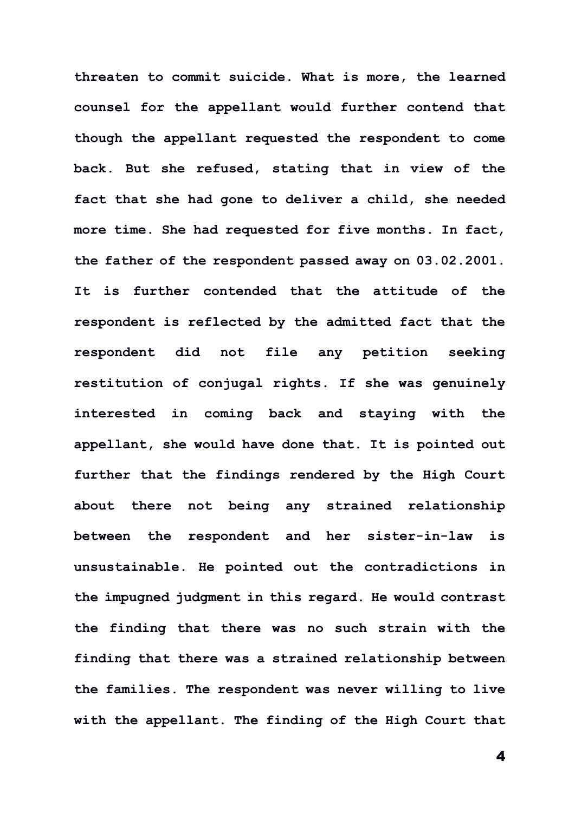**threaten to commit suicide. What is more, the learned counsel for the appellant would further contend that though the appellant requested the respondent to come back. But she refused, stating that in view of the fact that she had gone to deliver a child, she needed more time. She had requested for five months. In fact, the father of the respondent passed away on 03.02.2001. It is further contended that the attitude of the respondent is reflected by the admitted fact that the respondent did not file any petition seeking restitution of conjugal rights. If she was genuinely interested in coming back and staying with the appellant, she would have done that. It is pointed out further that the findings rendered by the High Court about there not being any strained relationship between the respondent and her sister-in-law is unsustainable. He pointed out the contradictions in the impugned judgment in this regard. He would contrast the finding that there was no such strain with the finding that there was a strained relationship between the families. The respondent was never willing to live with the appellant. The finding of the High Court that**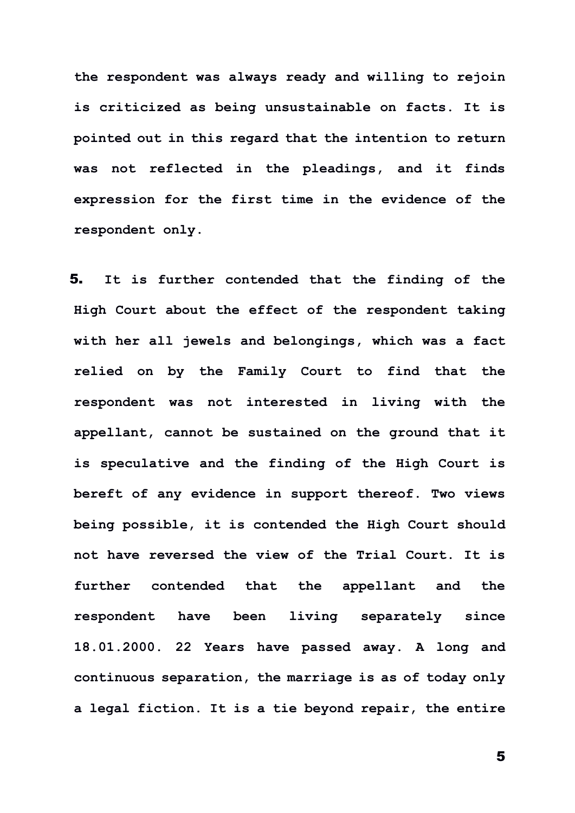**the respondent was always ready and willing to rejoin is criticized as being unsustainable on facts. It is pointed out in this regard that the intention to return was not reflected in the pleadings, and it finds expression for the first time in the evidence of the respondent only.** 

5. **It is further contended that the finding of the High Court about the effect of the respondent taking with her all jewels and belongings, which was a fact relied on by the Family Court to find that the respondent was not interested in living with the appellant, cannot be sustained on the ground that it is speculative and the finding of the High Court is bereft of any evidence in support thereof. Two views being possible, it is contended the High Court should not have reversed the view of the Trial Court. It is further contended that the appellant and the respondent have been living separately since 18.01.2000. 22 Years have passed away. A long and continuous separation, the marriage is as of today only a legal fiction. It is a tie beyond repair, the entire**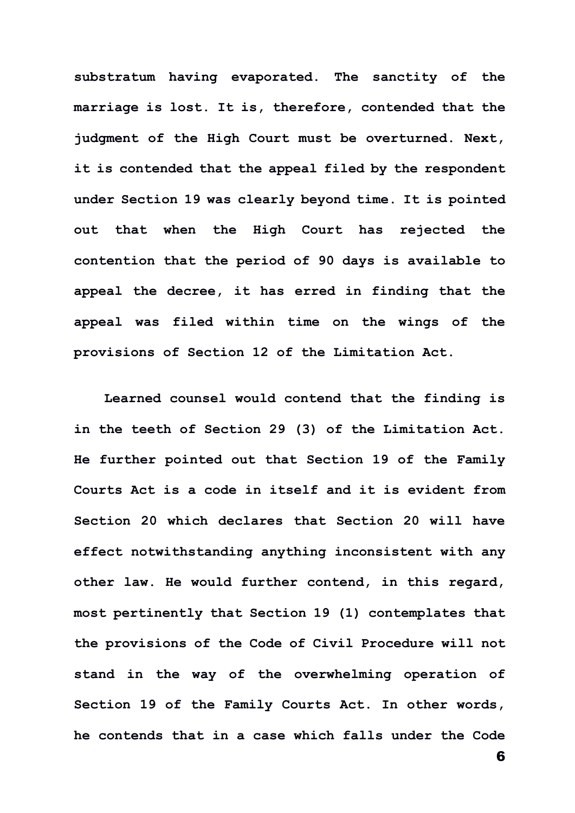**substratum having evaporated. The sanctity of the marriage is lost. It is, therefore, contended that the judgment of the High Court must be overturned. Next, it is contended that the appeal filed by the respondent under Section 19 was clearly beyond time. It is pointed out that when the High Court has rejected the contention that the period of 90 days is available to appeal the decree, it has erred in finding that the appeal was filed within time on the wings of the provisions of Section 12 of the Limitation Act.**

**Learned counsel would contend that the finding is in the teeth of Section 29 (3) of the Limitation Act. He further pointed out that Section 19 of the Family Courts Act is a code in itself and it is evident from Section 20 which declares that Section 20 will have effect notwithstanding anything inconsistent with any other law. He would further contend, in this regard, most pertinently that Section 19 (1) contemplates that the provisions of the Code of Civil Procedure will not stand in the way of the overwhelming operation of Section 19 of the Family Courts Act. In other words, he contends that in a case which falls under the Code**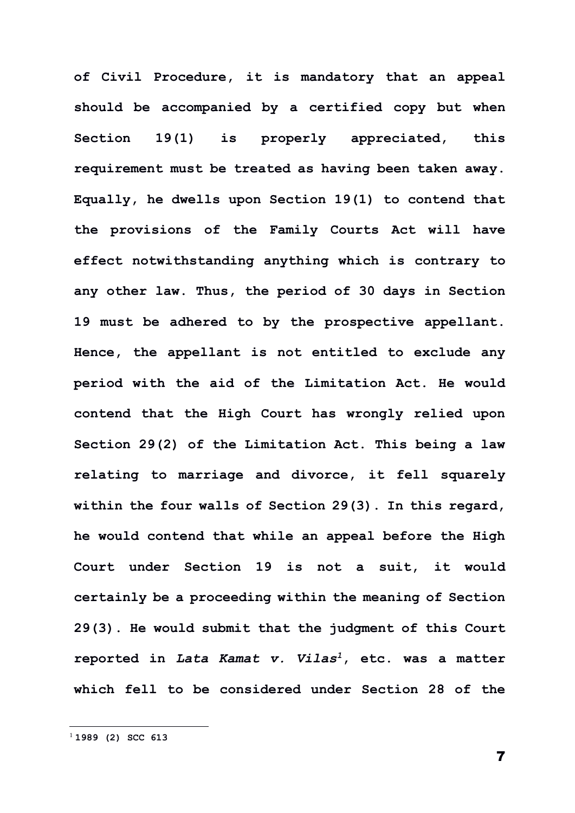**of Civil Procedure, it is mandatory that an appeal should be accompanied by a certified copy but when Section 19(1) is properly appreciated, this requirement must be treated as having been taken away. Equally, he dwells upon Section 19(1) to contend that the provisions of the Family Courts Act will have effect notwithstanding anything which is contrary to any other law. Thus, the period of 30 days in Section 19 must be adhered to by the prospective appellant. Hence, the appellant is not entitled to exclude any period with the aid of the Limitation Act. He would contend that the High Court has wrongly relied upon Section 29(2) of the Limitation Act. This being a law relating to marriage and divorce, it fell squarely within the four walls of Section 29(3). In this regard, he would contend that while an appeal before the High Court under Section 19 is not a suit, it would certainly be a proceeding within the meaning of Section 29(3). He would submit that the judgment of this Court reported in** *Lata Kamat v. Vilas<sup>1</sup>***, etc. was a matter which fell to be considered under Section 28 of the**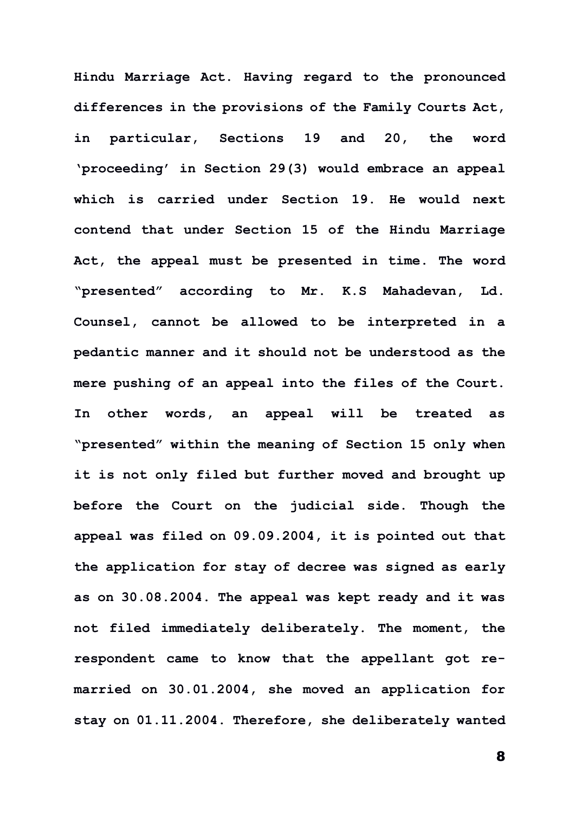**Hindu Marriage Act. Having regard to the pronounced differences in the provisions of the Family Courts Act, in particular, Sections 19 and 20, the word 'proceeding' in Section 29(3) would embrace an appeal which is carried under Section 19. He would next contend that under Section 15 of the Hindu Marriage Act, the appeal must be presented in time. The word "presented" according to Mr. K.S Mahadevan, Ld. Counsel, cannot be allowed to be interpreted in a pedantic manner and it should not be understood as the mere pushing of an appeal into the files of the Court. In other words, an appeal will be treated as "presented" within the meaning of Section 15 only when it is not only filed but further moved and brought up before the Court on the judicial side. Though the appeal was filed on 09.09.2004, it is pointed out that the application for stay of decree was signed as early as on 30.08.2004. The appeal was kept ready and it was not filed immediately deliberately. The moment, the respondent came to know that the appellant got remarried on 30.01.2004, she moved an application for stay on 01.11.2004. Therefore, she deliberately wanted**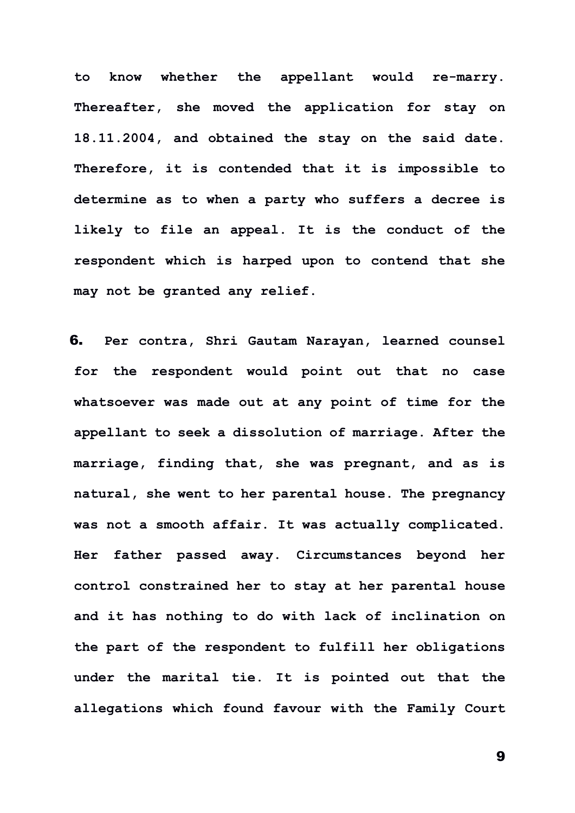**to know whether the appellant would re-marry. Thereafter, she moved the application for stay on 18.11.2004, and obtained the stay on the said date. Therefore, it is contended that it is impossible to determine as to when a party who suffers a decree is likely to file an appeal. It is the conduct of the respondent which is harped upon to contend that she may not be granted any relief.**

6. **Per contra, Shri Gautam Narayan, learned counsel for the respondent would point out that no case whatsoever was made out at any point of time for the appellant to seek a dissolution of marriage. After the marriage, finding that, she was pregnant, and as is natural, she went to her parental house. The pregnancy was not a smooth affair. It was actually complicated. Her father passed away. Circumstances beyond her control constrained her to stay at her parental house and it has nothing to do with lack of inclination on the part of the respondent to fulfill her obligations under the marital tie. It is pointed out that the allegations which found favour with the Family Court**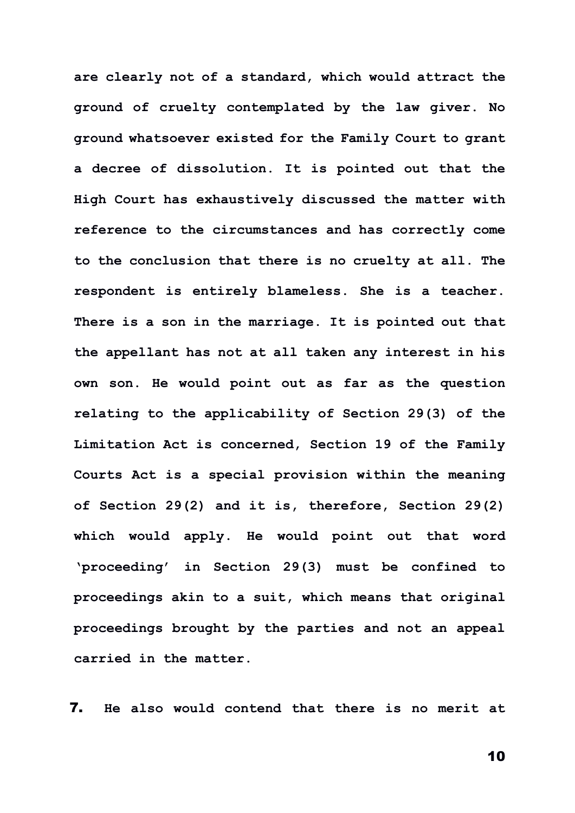**are clearly not of a standard, which would attract the ground of cruelty contemplated by the law giver. No ground whatsoever existed for the Family Court to grant a decree of dissolution. It is pointed out that the High Court has exhaustively discussed the matter with reference to the circumstances and has correctly come to the conclusion that there is no cruelty at all. The respondent is entirely blameless. She is a teacher. There is a son in the marriage. It is pointed out that the appellant has not at all taken any interest in his own son. He would point out as far as the question relating to the applicability of Section 29(3) of the Limitation Act is concerned, Section 19 of the Family Courts Act is a special provision within the meaning of Section 29(2) and it is, therefore, Section 29(2) which would apply. He would point out that word 'proceeding' in Section 29(3) must be confined to proceedings akin to a suit, which means that original proceedings brought by the parties and not an appeal carried in the matter.**

7. **He also would contend that there is no merit at**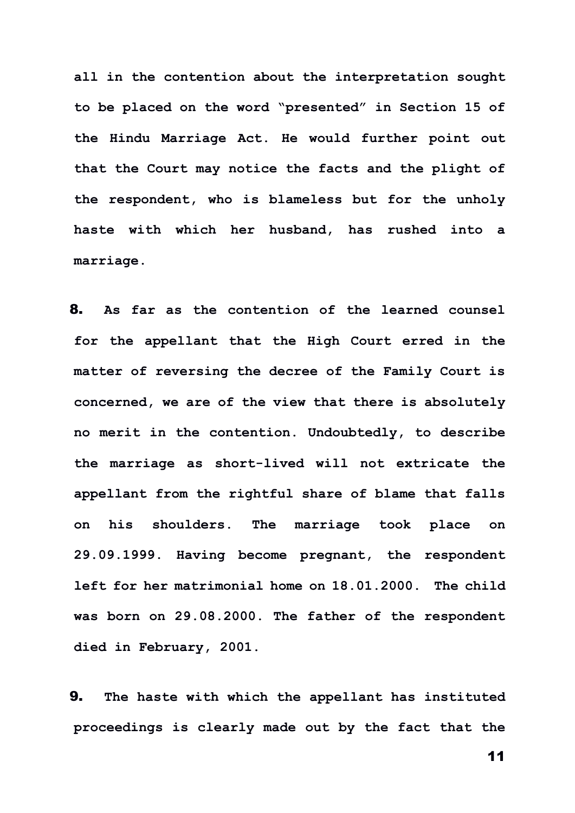**all in the contention about the interpretation sought to be placed on the word "presented" in Section 15 of the Hindu Marriage Act. He would further point out that the Court may notice the facts and the plight of the respondent, who is blameless but for the unholy haste with which her husband, has rushed into a marriage.**

8. **As far as the contention of the learned counsel for the appellant that the High Court erred in the matter of reversing the decree of the Family Court is concerned, we are of the view that there is absolutely no merit in the contention. Undoubtedly, to describe the marriage as short-lived will not extricate the appellant from the rightful share of blame that falls on his shoulders. The marriage took place on 29.09.1999. Having become pregnant, the respondent left for her matrimonial home on 18.01.2000. The child was born on 29.08.2000. The father of the respondent died in February, 2001.**

9. **The haste with which the appellant has instituted proceedings is clearly made out by the fact that the**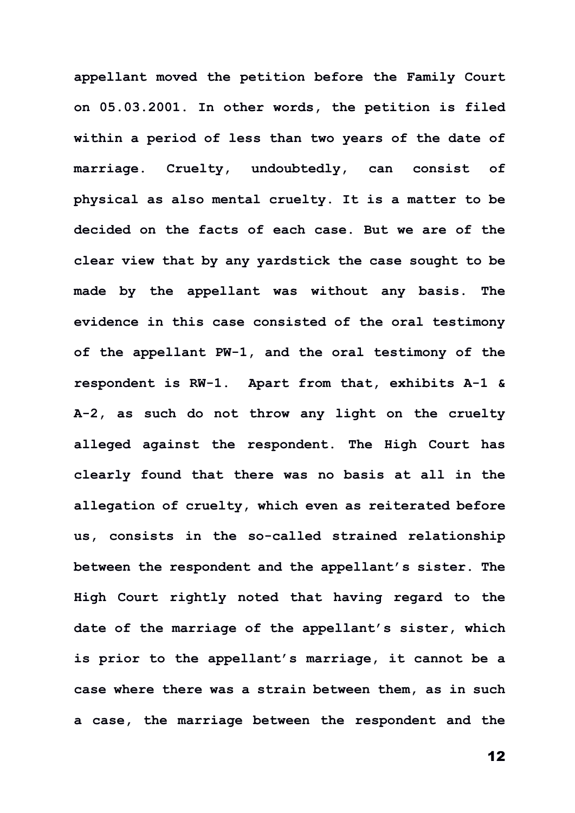**appellant moved the petition before the Family Court on 05.03.2001. In other words, the petition is filed within a period of less than two years of the date of marriage. Cruelty, undoubtedly, can consist of physical as also mental cruelty. It is a matter to be decided on the facts of each case. But we are of the clear view that by any yardstick the case sought to be made by the appellant was without any basis. The evidence in this case consisted of the oral testimony of the appellant PW-1, and the oral testimony of the respondent is RW-1. Apart from that, exhibits A-1 & A-2, as such do not throw any light on the cruelty alleged against the respondent. The High Court has clearly found that there was no basis at all in the allegation of cruelty, which even as reiterated before us, consists in the so-called strained relationship between the respondent and the appellant's sister. The High Court rightly noted that having regard to the date of the marriage of the appellant's sister, which is prior to the appellant's marriage, it cannot be a case where there was a strain between them, as in such a case, the marriage between the respondent and the**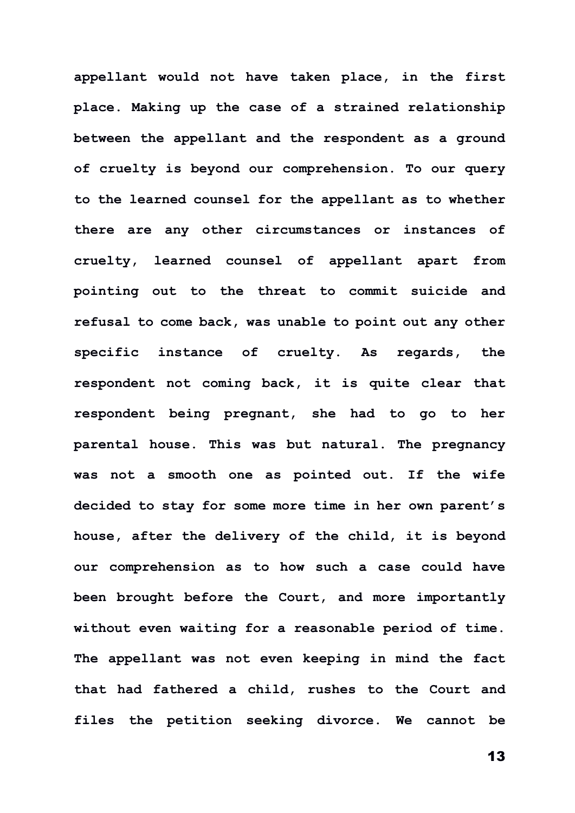**appellant would not have taken place, in the first place. Making up the case of a strained relationship between the appellant and the respondent as a ground of cruelty is beyond our comprehension. To our query to the learned counsel for the appellant as to whether there are any other circumstances or instances of cruelty, learned counsel of appellant apart from pointing out to the threat to commit suicide and refusal to come back, was unable to point out any other specific instance of cruelty. As regards, the respondent not coming back, it is quite clear that respondent being pregnant, she had to go to her parental house. This was but natural. The pregnancy was not a smooth one as pointed out. If the wife decided to stay for some more time in her own parent's house, after the delivery of the child, it is beyond our comprehension as to how such a case could have been brought before the Court, and more importantly without even waiting for a reasonable period of time. The appellant was not even keeping in mind the fact that had fathered a child, rushes to the Court and files the petition seeking divorce. We cannot be**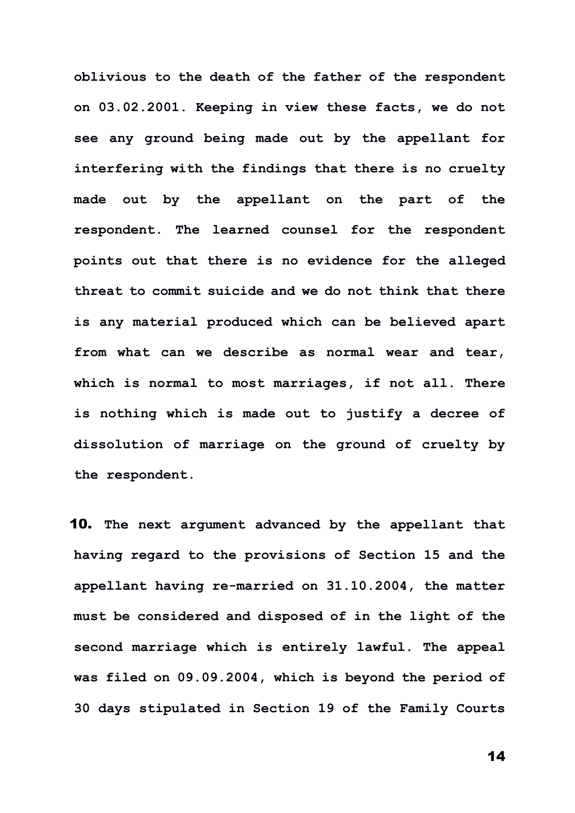**oblivious to the death of the father of the respondent on 03.02.2001. Keeping in view these facts, we do not see any ground being made out by the appellant for interfering with the findings that there is no cruelty made out by the appellant on the part of the respondent. The learned counsel for the respondent points out that there is no evidence for the alleged threat to commit suicide and we do not think that there is any material produced which can be believed apart from what can we describe as normal wear and tear, which is normal to most marriages, if not all. There is nothing which is made out to justify a decree of dissolution of marriage on the ground of cruelty by the respondent.**

10. **The next argument advanced by the appellant that having regard to the provisions of Section 15 and the appellant having re-married on 31.10.2004, the matter must be considered and disposed of in the light of the second marriage which is entirely lawful. The appeal was filed on 09.09.2004, which is beyond the period of 30 days stipulated in Section 19 of the Family Courts**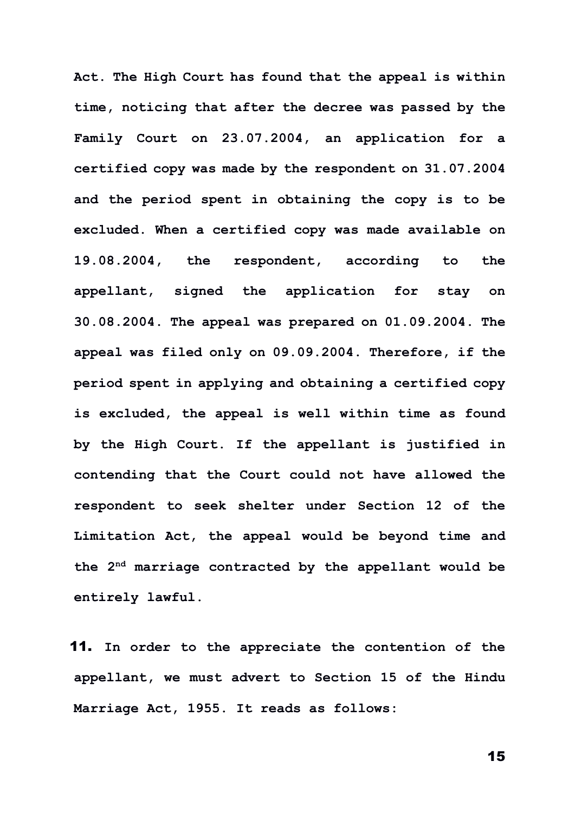**Act. The High Court has found that the appeal is within time, noticing that after the decree was passed by the Family Court on 23.07.2004, an application for a certified copy was made by the respondent on 31.07.2004 and the period spent in obtaining the copy is to be excluded. When a certified copy was made available on 19.08.2004, the respondent, according to the appellant, signed the application for stay on 30.08.2004. The appeal was prepared on 01.09.2004. The appeal was filed only on 09.09.2004. Therefore, if the period spent in applying and obtaining a certified copy is excluded, the appeal is well within time as found by the High Court. If the appellant is justified in contending that the Court could not have allowed the respondent to seek shelter under Section 12 of the Limitation Act, the appeal would be beyond time and the 2nd marriage contracted by the appellant would be entirely lawful.**

11. **In order to the appreciate the contention of the appellant, we must advert to Section 15 of the Hindu Marriage Act, 1955. It reads as follows:**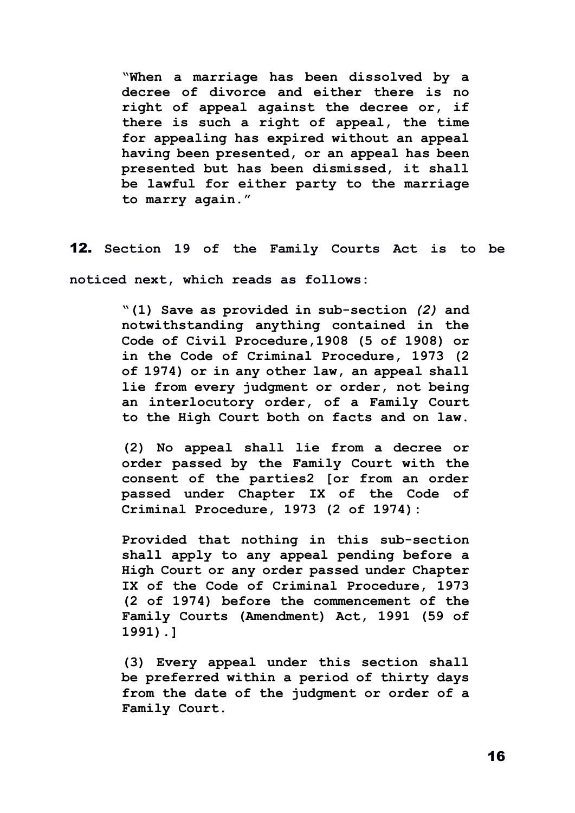**"When a marriage has been dissolved by a decree of divorce and either there is no right of appeal against the decree or, if there is such a right of appeal, the time for appealing has expired without an appeal having been presented, or an appeal has been presented but has been dismissed, it shall be lawful for either party to the marriage to marry again."** 

12. **Section 19 of the Family Courts Act is to be noticed next, which reads as follows:**

> **"(1) Save as provided in sub-section** *(2)* **and notwithstanding anything contained in the Code of Civil Procedure,1908 (5 of 1908) or in the Code of Criminal Procedure, 1973 (2 of 1974) or in any other law, an appeal shall lie from every judgment or order, not being an interlocutory order, of a Family Court to the High Court both on facts and on law.**

> **(2) No appeal shall lie from a decree or order passed by the Family Court with the consent of the parties2 [or from an order passed under Chapter IX of the Code of Criminal Procedure, 1973 (2 of 1974):**

> **Provided that nothing in this sub-section shall apply to any appeal pending before a High Court or any order passed under Chapter IX of the Code of Criminal Procedure, 1973 (2 of 1974) before the commencement of the Family Courts (Amendment) Act, 1991 (59 of 1991).]**

> **(3) Every appeal under this section shall be preferred within a period of thirty days from the date of the judgment or order of a Family Court.**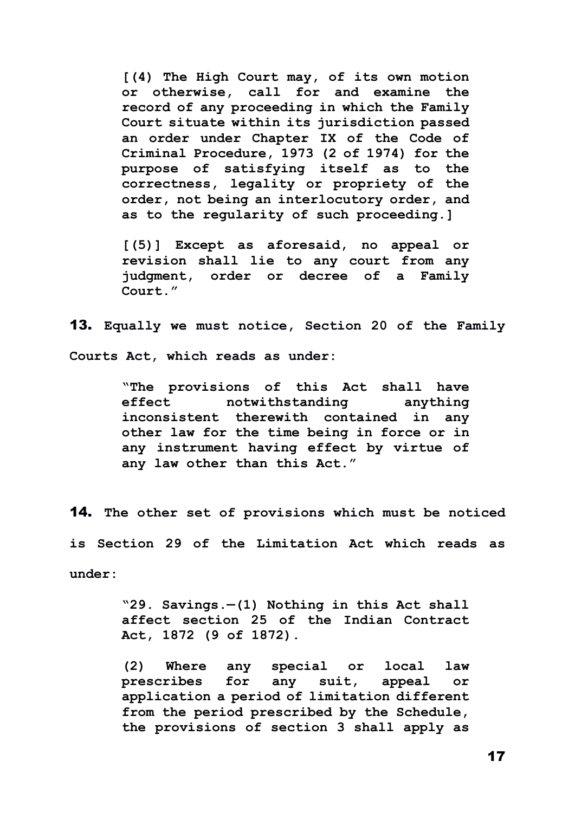**[(4) The High Court may, of its own motion or otherwise, call for and examine the record of any proceeding in which the Family Court situate within its jurisdiction passed an order under Chapter IX of the Code of Criminal Procedure, 1973 (2 of 1974) for the purpose of satisfying itself as to the correctness, legality or propriety of the order, not being an interlocutory order, and as to the regularity of such proceeding.]**

**[(5)] Except as aforesaid, no appeal or revision shall lie to any court from any judgment, order or decree of a Family Court."**

13. **Equally we must notice, Section 20 of the Family Courts Act, which reads as under:**

> **"The provisions of this Act shall have effect notwithstanding anything inconsistent therewith contained in any other law for the time being in force or in any instrument having effect by virtue of any law other than this Act."**

14. **The other set of provisions which must be noticed is Section 29 of the Limitation Act which reads as under:**

> **"29. Savings.—(1) Nothing in this Act shall affect section 25 of the Indian Contract Act, 1872 (9 of 1872).**

> **(2) Where any special or local law prescribes for any suit, appeal or application a period of limitation different from the period prescribed by the Schedule, the provisions of section 3 shall apply as**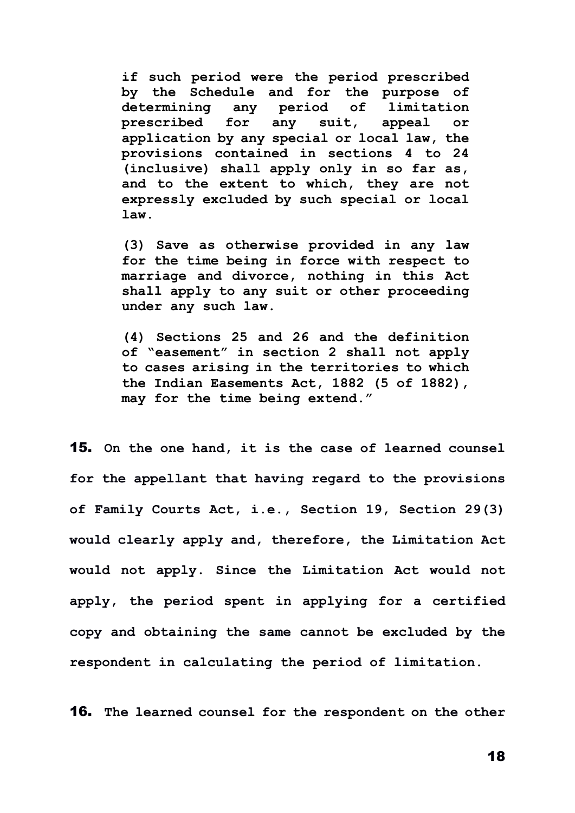**if such period were the period prescribed by the Schedule and for the purpose of determining any period of limitation prescribed for any suit, appeal or application by any special or local law, the provisions contained in sections 4 to 24 (inclusive) shall apply only in so far as, and to the extent to which, they are not expressly excluded by such special or local law.**

**(3) Save as otherwise provided in any law for the time being in force with respect to marriage and divorce, nothing in this Act shall apply to any suit or other proceeding under any such law.**

**(4) Sections 25 and 26 and the definition of "easement" in section 2 shall not apply to cases arising in the territories to which the Indian Easements Act, 1882 (5 of 1882), may for the time being extend."**

15. **On the one hand, it is the case of learned counsel for the appellant that having regard to the provisions of Family Courts Act, i.e., Section 19, Section 29(3) would clearly apply and, therefore, the Limitation Act would not apply. Since the Limitation Act would not apply, the period spent in applying for a certified copy and obtaining the same cannot be excluded by the respondent in calculating the period of limitation.**

16. **The learned counsel for the respondent on the other**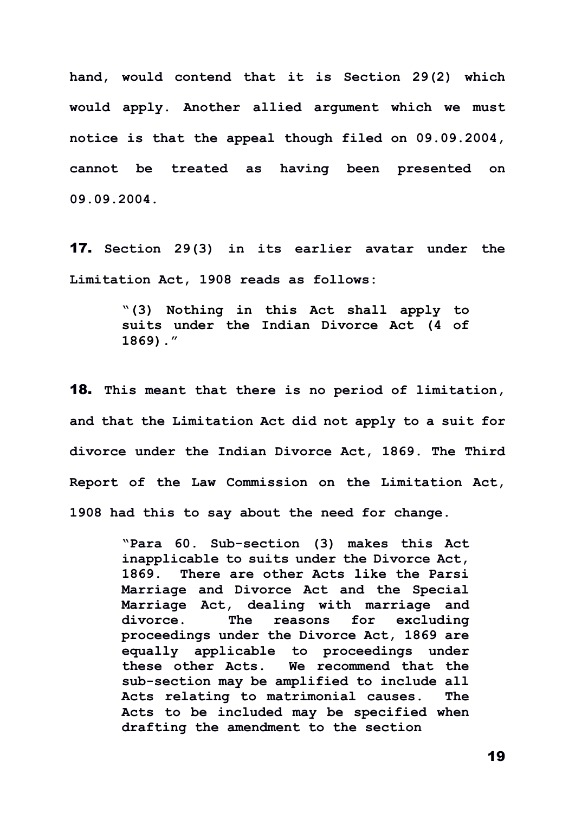**hand, would contend that it is Section 29(2) which would apply. Another allied argument which we must notice is that the appeal though filed on 09.09.2004, cannot be treated as having been presented on 09.09.2004.**

17. **Section 29(3) in its earlier avatar under the Limitation Act, 1908 reads as follows:**

> **"(3) Nothing in this Act shall apply to suits under the Indian Divorce Act (4 of 1869)."**

18. **This meant that there is no period of limitation, and that the Limitation Act did not apply to a suit for divorce under the Indian Divorce Act, 1869. The Third Report of the Law Commission on the Limitation Act, 1908 had this to say about the need for change.**

> **"Para 60. Sub-section (3) makes this Act inapplicable to suits under the Divorce Act, 1869. There are other Acts like the Parsi Marriage and Divorce Act and the Special Marriage Act, dealing with marriage and divorce. The reasons for excluding proceedings under the Divorce Act, 1869 are equally applicable to proceedings under these other Acts. We recommend that the sub-section may be amplified to include all Acts relating to matrimonial causes. The Acts to be included may be specified when drafting the amendment to the section**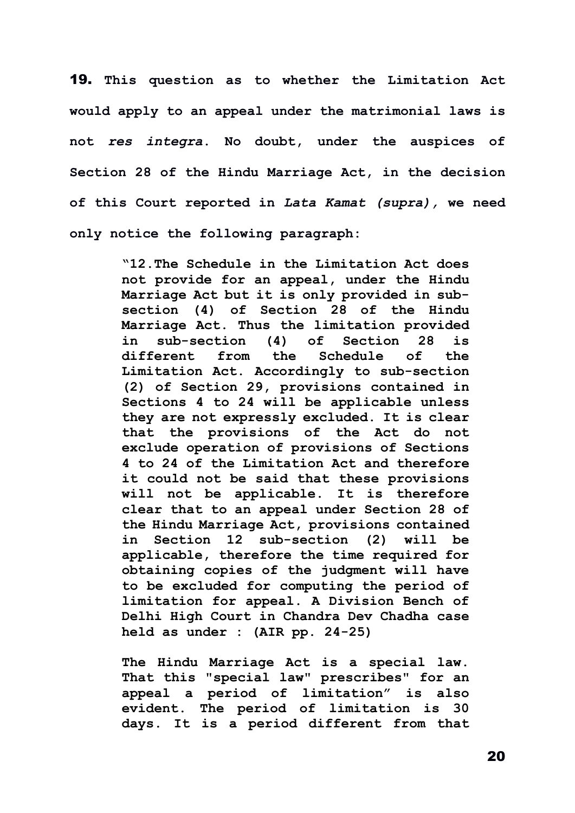19. **This question as to whether the Limitation Act would apply to an appeal under the matrimonial laws is not** *res integra***. No doubt, under the auspices of Section 28 of the Hindu Marriage Act, in the decision of this Court reported in** *Lata Kamat (supra),* **we need only notice the following paragraph:**

> **"12.The Schedule in the [Limitation A](https://indiankanoon.org/doc/1317393/)ct does not provide for an appeal, under the [Hindu](https://indiankanoon.org/doc/590166/)  [Marriage Act](https://indiankanoon.org/doc/590166/) but it is only provided in subsection (4) of Section 28 of the [Hindu](https://indiankanoon.org/doc/590166/)  [Marriage Act.](https://indiankanoon.org/doc/590166/) Thus the limitation provided in sub-section (4) of Section 28 is different from the Schedule of the Limitation Act. Accordingly to sub-section (2) of Section 29, provisions contained in [Sections 4](https://indiankanoon.org/doc/1393166/) to [24](https://indiankanoon.org/doc/769768/) will be applicable unless they are not expressly excluded. It is clear that the provisions of the Act do not exclude operation of provisions of [Sections](https://indiankanoon.org/doc/1393166/)  [4](https://indiankanoon.org/doc/1393166/) to [24](https://indiankanoon.org/doc/769768/) of the [Limitation Act](https://indiankanoon.org/doc/1317393/) and therefore it could not be said that these provisions will not be applicable. It is therefore clear that to an appeal under Section 28 of the Hindu Marriage Act, provisions contained in [Section 12](https://indiankanoon.org/doc/1267250/) sub-section (2) will be applicable, therefore the time required for obtaining copies of the judgment will have to be excluded for computing the period of limitation for appeal. A Division Bench of Delhi High Court in Chandra Dev Chadha case held as under : (AIR pp. 24-25)**

> **[The Hindu Marriage Act](https://indiankanoon.org/doc/590166/) is a special law. That this "special law" prescribes" for an appeal a period of limitation" is also evident. The period of limitation is 30 days. It is a period different from that**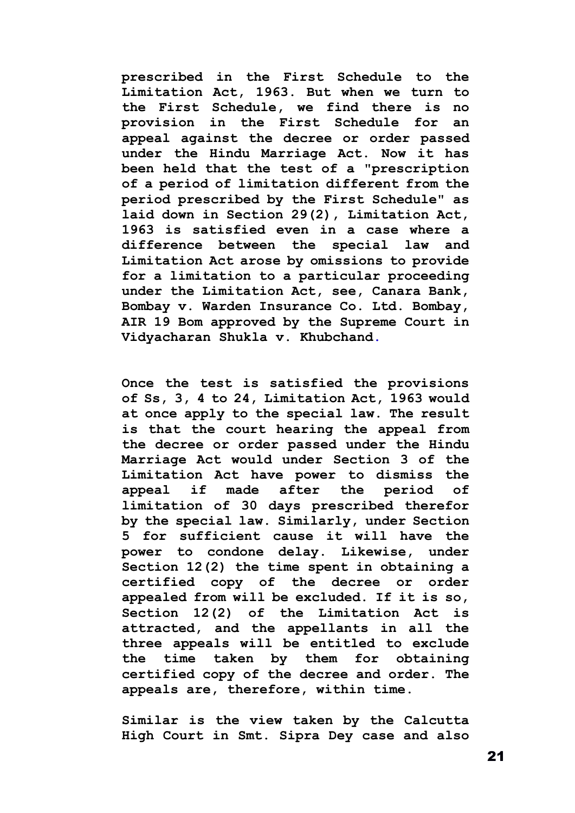**prescribed in the First Schedule to the [Limitation Act,](https://indiankanoon.org/doc/1317393/) 1963. But when we turn to the First Schedule, we find there is no provision in the First Schedule for an appeal against the decree or order passed under the [Hindu Marriage Act.](https://indiankanoon.org/doc/590166/) Now it has been held that the test of a "prescription of a period of limitation different from the period prescribed by the First Schedule" as laid down in Section 29(2), [Limitation Act,](https://indiankanoon.org/doc/1317393/) 1963 is satisfied even in a case where a difference between the special law and Limitation Act arose by omissions to provide for a limitation to a particular proceeding under the [Limitation Act,](https://indiankanoon.org/doc/1317393/) see, Canara Bank, Bombay v. Warden Insurance Co. Ltd. Bombay, AIR 19 Bom approved by the Supreme Court in Vidyacharan Shukla [v. Khubchand.](https://indiankanoon.org/doc/195129/)**

**Once the test is satisfied the provisions of Ss, 3, 4 to 24, [Limitation Act,](https://indiankanoon.org/doc/1317393/) 1963 would at once apply to the special law. The result is that the court hearing the appeal from the decree or order passed under the Hindu Marriage Act would under [Section 3](https://indiankanoon.org/doc/880040/) of the Limitation Act have power to dismiss the appeal if made after the period of limitation of 30 days prescribed therefor by the special law. Similarly, under Section 5 for sufficient cause it will have the power to condone delay. Likewise, under [Section 12\(2\)](https://indiankanoon.org/doc/23013/) the time spent in obtaining a certified copy of the decree or order appealed from will be excluded. If it is so, [Section 12\(2\)](https://indiankanoon.org/doc/23013/) of the Limitation Act is attracted, and the appellants in all the three appeals will be entitled to exclude the time taken by them for obtaining certified copy of the decree and order. The appeals are, therefore, within time.**

**Similar is the view taken by the Calcutta High Court in Smt. Sipra Dey case and also**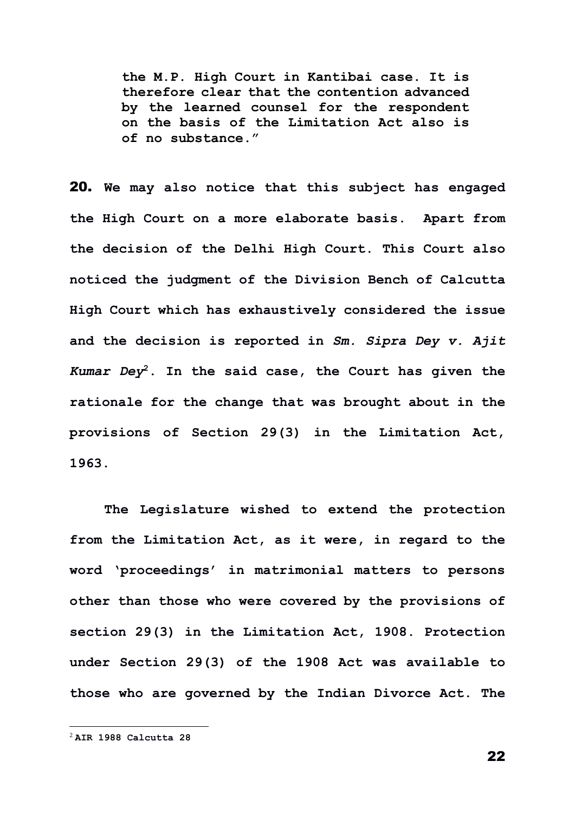**the M.P. High Court in Kantibai case. It is therefore clear that the contention advanced by the learned counsel for the respondent on the basis of the [Limitation Act](https://indiankanoon.org/doc/1317393/) also is of no substance."**

20. **We may also notice that this subject has engaged the High Court on a more elaborate basis. Apart from the decision of the Delhi High Court. This Court also noticed the judgment of the Division Bench of Calcutta High Court which has exhaustively considered the issue and the decision is reported in** *Sm. Sipra Dey v. Ajit Kumar Dey***<sup>2</sup>. In the said case, the Court has given the rationale for the change that was brought about in the provisions of Section 29(3) in the Limitation Act, 1963.**

**The Legislature wished to extend the protection from the Limitation Act, as it were, in regard to the word 'proceedings' in matrimonial matters to persons other than those who were covered by the provisions of section 29(3) in the Limitation Act, 1908. Protection under Section 29(3) of the 1908 Act was available to those who are governed by the Indian Divorce Act. The** 

<sup>2</sup> **AIR 1988 Calcutta 28**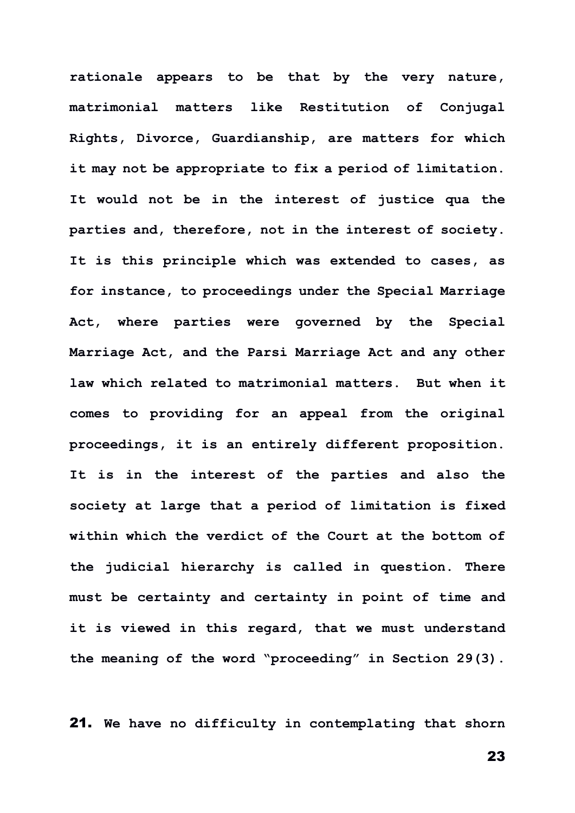**rationale appears to be that by the very nature, matrimonial matters like Restitution of Conjugal Rights, Divorce, Guardianship, are matters for which it may not be appropriate to fix a period of limitation. It would not be in the interest of justice qua the parties and, therefore, not in the interest of society. It is this principle which was extended to cases, as for instance, to proceedings under the Special Marriage Act, where parties were governed by the Special Marriage Act, and the Parsi Marriage Act and any other law which related to matrimonial matters. But when it comes to providing for an appeal from the original proceedings, it is an entirely different proposition. It is in the interest of the parties and also the society at large that a period of limitation is fixed within which the verdict of the Court at the bottom of the judicial hierarchy is called in question. There must be certainty and certainty in point of time and it is viewed in this regard, that we must understand the meaning of the word "proceeding" in Section 29(3).**

21. **We have no difficulty in contemplating that shorn**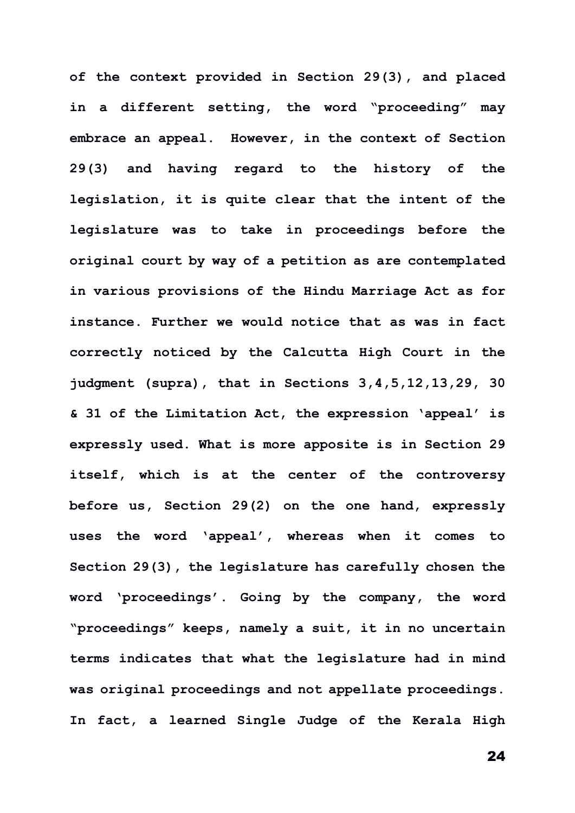**of the context provided in Section 29(3), and placed in a different setting, the word "proceeding" may embrace an appeal. However, in the context of Section 29(3) and having regard to the history of the legislation, it is quite clear that the intent of the legislature was to take in proceedings before the original court by way of a petition as are contemplated in various provisions of the Hindu Marriage Act as for instance. Further we would notice that as was in fact correctly noticed by the Calcutta High Court in the judgment (supra), that in Sections 3,4,5,12,13,29, 30 & 31 of the Limitation Act, the expression 'appeal' is expressly used. What is more apposite is in Section 29 itself, which is at the center of the controversy before us, Section 29(2) on the one hand, expressly uses the word 'appeal', whereas when it comes to Section 29(3), the legislature has carefully chosen the word 'proceedings'. Going by the company, the word "proceedings" keeps, namely a suit, it in no uncertain terms indicates that what the legislature had in mind was original proceedings and not appellate proceedings. In fact, a learned Single Judge of the Kerala High**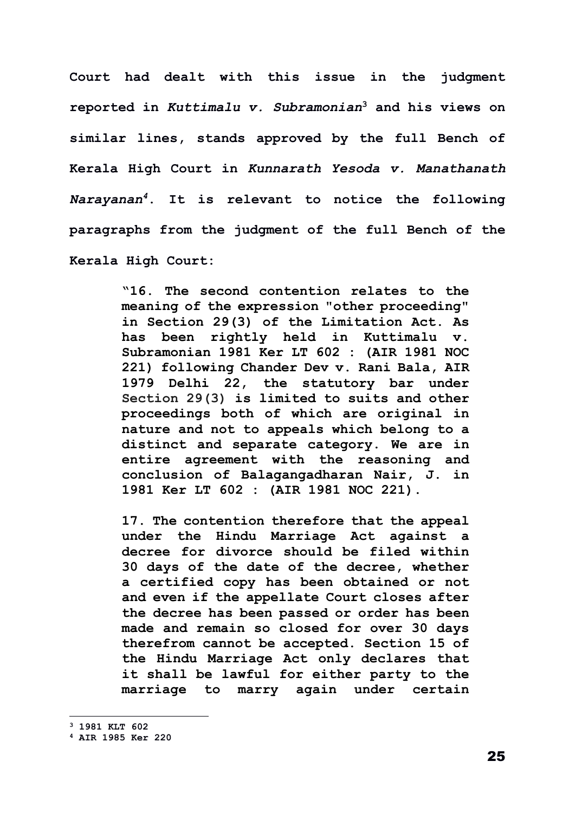**Court had dealt with this issue in the judgment reported in** *Kuttimalu v. Subramonian***<sup>3</sup> and his views on similar lines, stands approved by the full Bench of Kerala High Court in** *Kunnarath Yesoda v. Manathanath Narayanan<sup>4</sup>***. It is relevant to notice the following paragraphs from the judgment of the full Bench of the Kerala High Court:** 

> **"16. The second contention relates to the meaning of the expression "other proceeding" in [Section 29\(3\)](https://indiankanoon.org/doc/1088177/) of the Limitation Act. As has been rightly held in Kuttimalu v. Subramonian 1981 Ker LT 602 : (AIR 1981 NOC 221) following Chander [Dev v. Rani Bala,](https://indiankanoon.org/doc/1900935/) AIR 1979 Delhi 22, the statutory bar under [Section 29\(3\)](https://indiankanoon.org/doc/1088177/) is limited to suits and other proceedings both of which are original in nature and not to appeals which belong to a distinct and separate category. We are in entire agreement with the reasoning and conclusion of Balagangadharan Nair, J. in 1981 Ker LT 602 : (AIR 1981 NOC 221).**

> **17. The contention therefore that the appeal under the [Hindu Marriage Act](https://indiankanoon.org/doc/590166/) against a decree for divorce should be filed within 30 days of the date of the decree, whether a certified copy has been obtained or not and even if the appellate Court closes after the decree has been passed or order has been made and remain so closed for over 30 days therefrom cannot be accepted. [Section 15](https://indiankanoon.org/doc/1566829/) of the Hindu Marriage Act only declares that it shall be lawful for either party to the marriage to marry again under certain**

**<sup>3</sup> 1981 KLT 602** 

**<sup>4</sup> AIR 1985 Ker 220**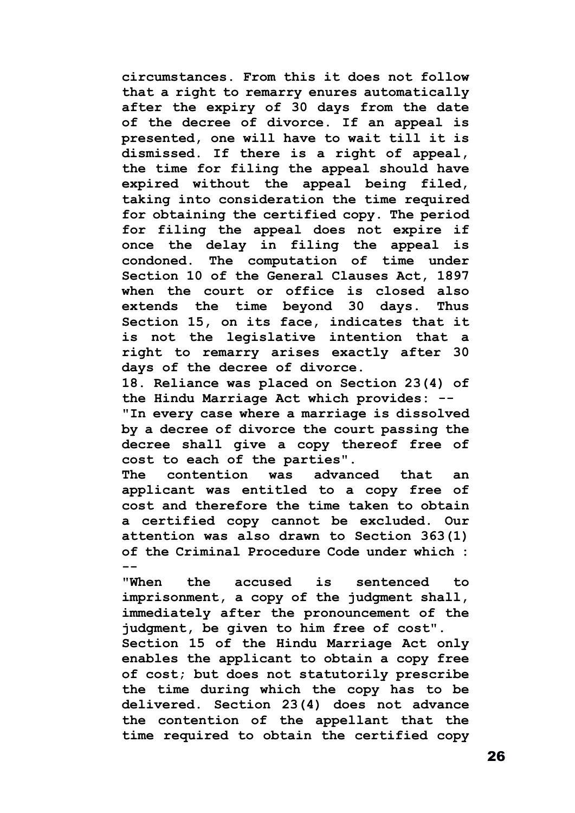**circumstances. From this it does not follow that a right to remarry enures automatically after the expiry of 30 days from the date of the decree of divorce. If an appeal is presented, one will have to wait till it is dismissed. If there is a right of appeal, the time for filing the appeal should have expired without the appeal being filed, taking into consideration the time required for obtaining the certified copy. The period for filing the appeal does not expire if once the delay in filing the appeal is condoned. The computation of time under [Section 10](https://indiankanoon.org/doc/127256/) of the General Clauses Act, 1897 when the court or office is closed also extends the time beyond 30 days. Thus [Section 15,](https://indiankanoon.org/doc/1720337/) on its face, indicates that it is not the legislative intention that a right to remarry arises exactly after 30 days of the decree of divorce.**

**18. Reliance was placed on [Section 23\(4\)](https://indiankanoon.org/doc/1016293/) of the Hindu Marriage Act which provides: -- "In every case where a marriage is dissolved by a decree of divorce the court passing the decree shall give a copy thereof free of cost to each of the parties".**

**The contention was advanced that an applicant was entitled to a copy free of cost and therefore the time taken to obtain a certified copy cannot be excluded. Our attention was also drawn to [Section 363\(1\)](https://indiankanoon.org/doc/550192/) of the Criminal Procedure Code under which : --**

**"When the accused is sentenced to imprisonment, a copy of the judgment shall, immediately after the pronouncement of the judgment, be given to him free of cost". [Section 15](https://indiankanoon.org/doc/1566829/) of the Hindu Marriage Act only enables the applicant to obtain a copy free of cost; but does not statutorily prescribe the time during which the copy has to be delivered. [Section 23\(4\)](https://indiankanoon.org/doc/11639/) does not advance the contention of the appellant that the** 

**time required to obtain the certified copy**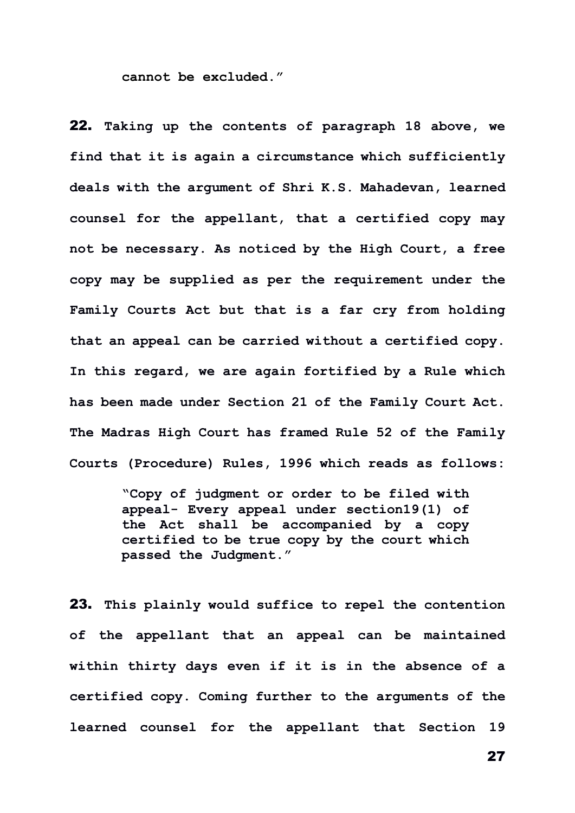**cannot be excluded."** 

22. **Taking up the contents of paragraph 18 above, we find that it is again a circumstance which sufficiently deals with the argument of Shri K.S. Mahadevan, learned counsel for the appellant, that a certified copy may not be necessary. As noticed by the High Court, a free copy may be supplied as per the requirement under the Family Courts Act but that is a far cry from holding that an appeal can be carried without a certified copy. In this regard, we are again fortified by a Rule which has been made under Section 21 of the Family Court Act. The Madras High Court has framed Rule 52 of the Family Courts (Procedure) Rules, 1996 which reads as follows:**

> **"Copy of judgment or order to be filed with appeal- Every appeal under section19(1) of the Act shall be accompanied by a copy certified to be true copy by the court which passed the Judgment."**

23. **This plainly would suffice to repel the contention of the appellant that an appeal can be maintained within thirty days even if it is in the absence of a certified copy. Coming further to the arguments of the learned counsel for the appellant that Section 19**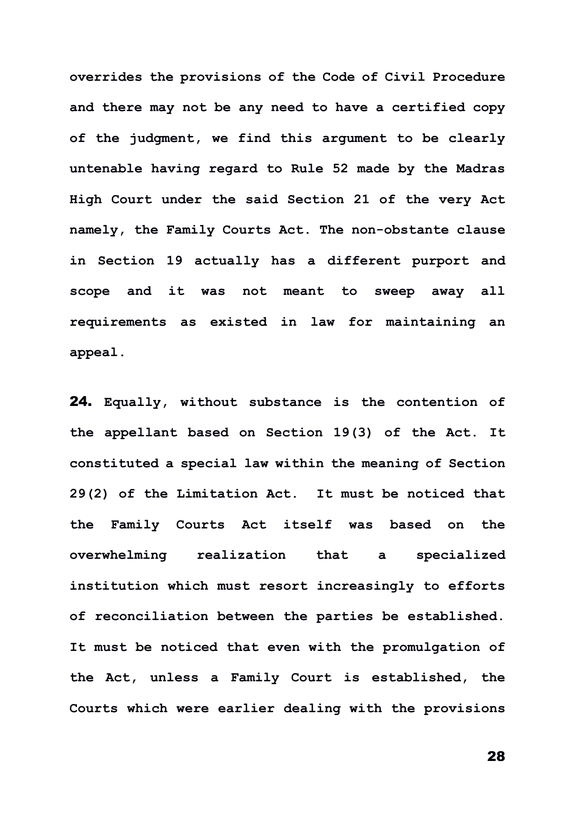**overrides the provisions of the Code of Civil Procedure and there may not be any need to have a certified copy of the judgment, we find this argument to be clearly untenable having regard to Rule 52 made by the Madras High Court under the said Section 21 of the very Act namely, the Family Courts Act. The non-obstante clause in Section 19 actually has a different purport and scope and it was not meant to sweep away all requirements as existed in law for maintaining an appeal.**

24. **Equally, without substance is the contention of the appellant based on Section 19(3) of the Act. It constituted a special law within the meaning of Section 29(2) of the Limitation Act. It must be noticed that the Family Courts Act itself was based on the overwhelming realization that a specialized institution which must resort increasingly to efforts of reconciliation between the parties be established. It must be noticed that even with the promulgation of the Act, unless a Family Court is established, the Courts which were earlier dealing with the provisions**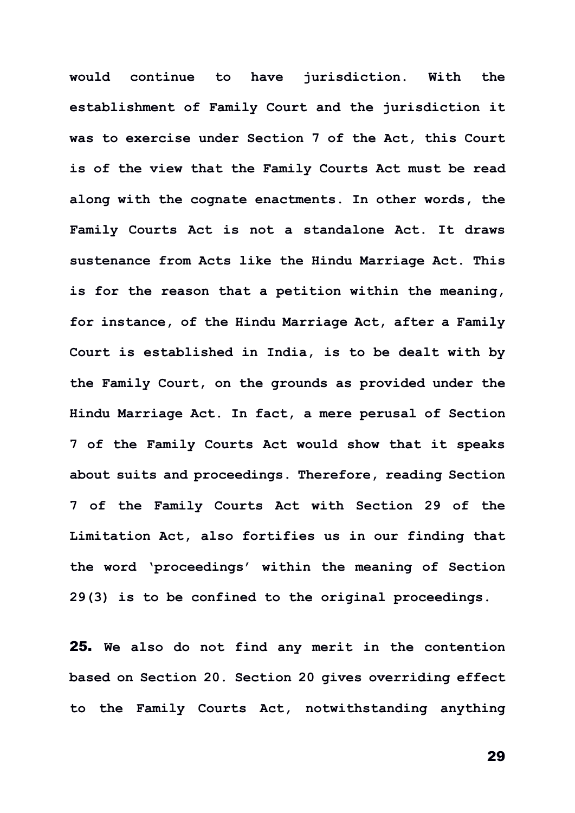**would continue to have jurisdiction. With the establishment of Family Court and the jurisdiction it was to exercise under Section 7 of the Act, this Court is of the view that the Family Courts Act must be read along with the cognate enactments. In other words, the Family Courts Act is not a standalone Act. It draws sustenance from Acts like the Hindu Marriage Act. This is for the reason that a petition within the meaning, for instance, of the Hindu Marriage Act, after a Family Court is established in India, is to be dealt with by the Family Court, on the grounds as provided under the Hindu Marriage Act. In fact, a mere perusal of Section 7 of the Family Courts Act would show that it speaks about suits and proceedings. Therefore, reading Section 7 of the Family Courts Act with Section 29 of the Limitation Act, also fortifies us in our finding that the word 'proceedings' within the meaning of Section 29(3) is to be confined to the original proceedings.**

25. **We also do not find any merit in the contention based on Section 20. Section 20 gives overriding effect to the Family Courts Act, notwithstanding anything**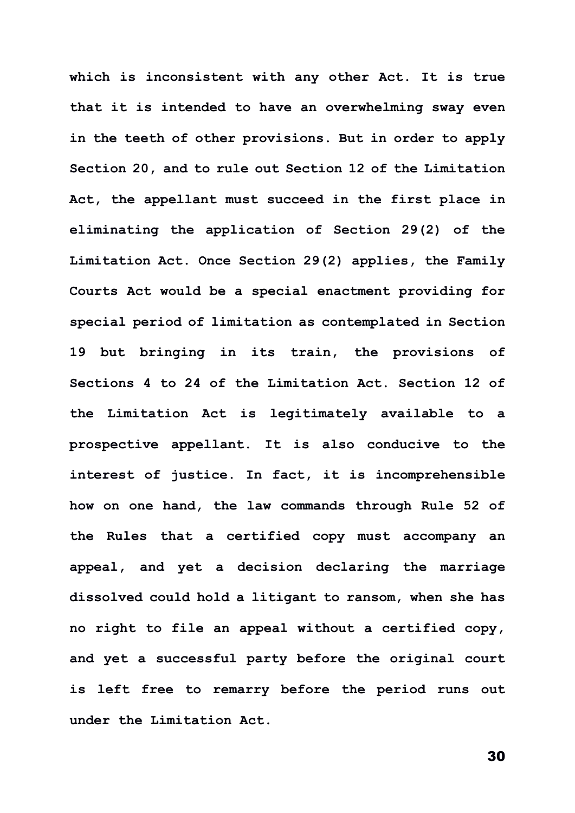**which is inconsistent with any other Act. It is true that it is intended to have an overwhelming sway even in the teeth of other provisions. But in order to apply Section 20, and to rule out Section 12 of the Limitation Act, the appellant must succeed in the first place in eliminating the application of Section 29(2) of the Limitation Act. Once Section 29(2) applies, the Family Courts Act would be a special enactment providing for special period of limitation as contemplated in Section 19 but bringing in its train, the provisions of Sections 4 to 24 of the Limitation Act. Section 12 of the Limitation Act is legitimately available to a prospective appellant. It is also conducive to the interest of justice. In fact, it is incomprehensible how on one hand, the law commands through Rule 52 of the Rules that a certified copy must accompany an appeal, and yet a decision declaring the marriage dissolved could hold a litigant to ransom, when she has no right to file an appeal without a certified copy, and yet a successful party before the original court is left free to remarry before the period runs out under the Limitation Act.**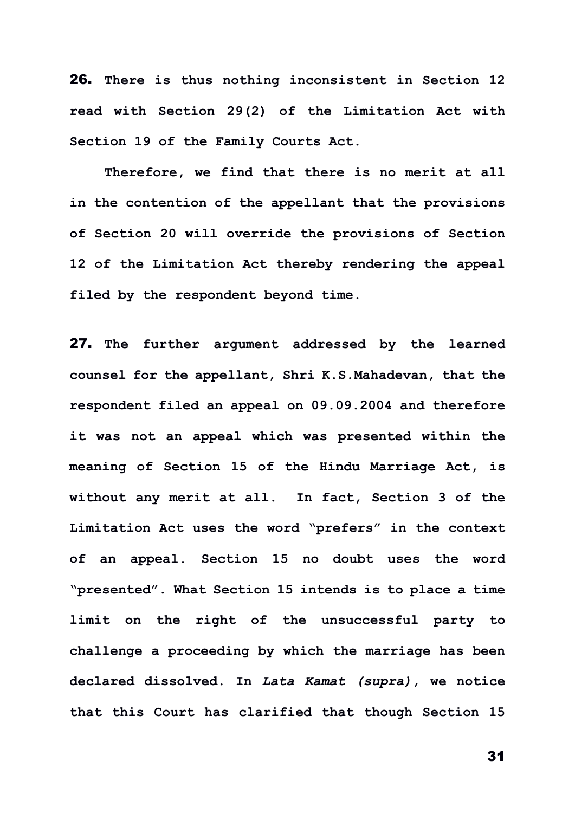26. **There is thus nothing inconsistent in Section 12 read with Section 29(2) of the Limitation Act with Section 19 of the Family Courts Act.**

**Therefore, we find that there is no merit at all in the contention of the appellant that the provisions of Section 20 will override the provisions of Section 12 of the Limitation Act thereby rendering the appeal filed by the respondent beyond time.**

27. **The further argument addressed by the learned counsel for the appellant, Shri K.S.Mahadevan, that the respondent filed an appeal on 09.09.2004 and therefore it was not an appeal which was presented within the meaning of Section 15 of the Hindu Marriage Act, is without any merit at all. In fact, Section 3 of the Limitation Act uses the word "prefers" in the context of an appeal. Section 15 no doubt uses the word "presented". What Section 15 intends is to place a time limit on the right of the unsuccessful party to challenge a proceeding by which the marriage has been declared dissolved. In** *Lata Kamat (supra)***, we notice that this Court has clarified that though Section 15**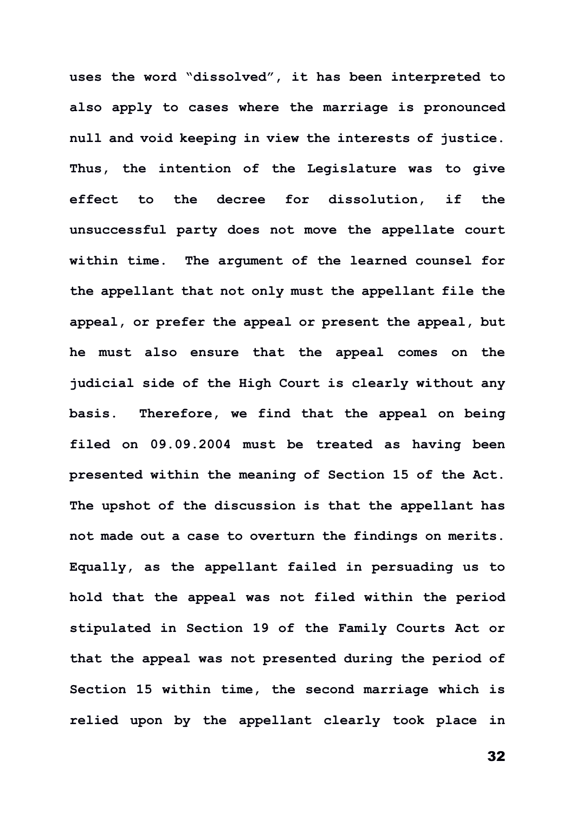**uses the word "dissolved", it has been interpreted to also apply to cases where the marriage is pronounced null and void keeping in view the interests of justice. Thus, the intention of the Legislature was to give effect to the decree for dissolution, if the unsuccessful party does not move the appellate court within time. The argument of the learned counsel for the appellant that not only must the appellant file the appeal, or prefer the appeal or present the appeal, but he must also ensure that the appeal comes on the judicial side of the High Court is clearly without any basis. Therefore, we find that the appeal on being filed on 09.09.2004 must be treated as having been presented within the meaning of Section 15 of the Act. The upshot of the discussion is that the appellant has not made out a case to overturn the findings on merits. Equally, as the appellant failed in persuading us to hold that the appeal was not filed within the period stipulated in Section 19 of the Family Courts Act or that the appeal was not presented during the period of Section 15 within time, the second marriage which is relied upon by the appellant clearly took place in**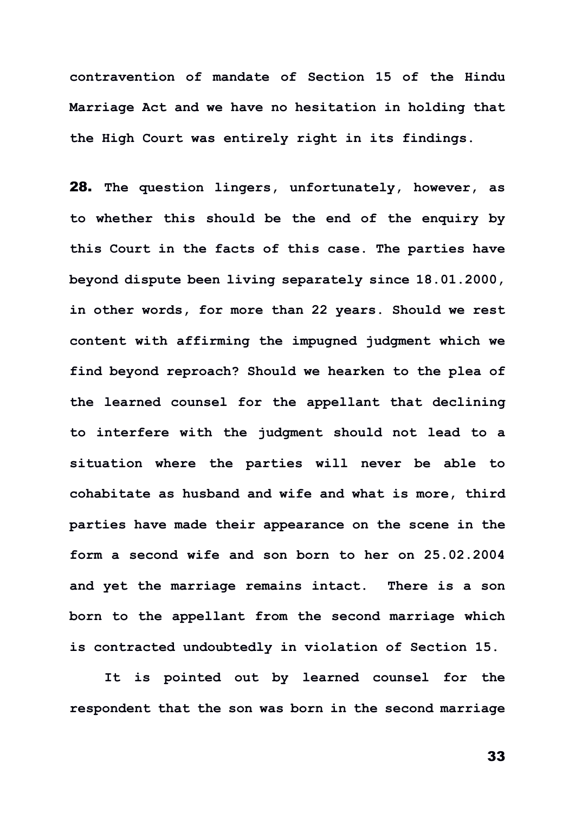**contravention of mandate of Section 15 of the Hindu Marriage Act and we have no hesitation in holding that the High Court was entirely right in its findings.**

28. **The question lingers, unfortunately, however, as to whether this should be the end of the enquiry by this Court in the facts of this case. The parties have beyond dispute been living separately since 18.01.2000, in other words, for more than 22 years. Should we rest content with affirming the impugned judgment which we find beyond reproach? Should we hearken to the plea of the learned counsel for the appellant that declining to interfere with the judgment should not lead to a situation where the parties will never be able to cohabitate as husband and wife and what is more, third parties have made their appearance on the scene in the form a second wife and son born to her on 25.02.2004 and yet the marriage remains intact. There is a son born to the appellant from the second marriage which is contracted undoubtedly in violation of Section 15.**

**It is pointed out by learned counsel for the respondent that the son was born in the second marriage**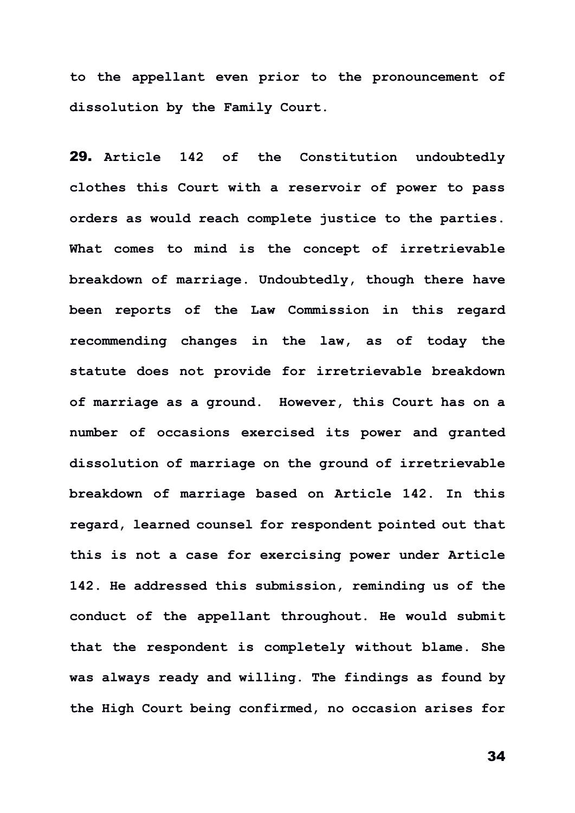**to the appellant even prior to the pronouncement of dissolution by the Family Court.**

29. **Article 142 of the Constitution undoubtedly clothes this Court with a reservoir of power to pass orders as would reach complete justice to the parties. What comes to mind is the concept of irretrievable breakdown of marriage. Undoubtedly, though there have been reports of the Law Commission in this regard recommending changes in the law, as of today the statute does not provide for irretrievable breakdown of marriage as a ground. However, this Court has on a number of occasions exercised its power and granted dissolution of marriage on the ground of irretrievable breakdown of marriage based on Article 142. In this regard, learned counsel for respondent pointed out that this is not a case for exercising power under Article 142. He addressed this submission, reminding us of the conduct of the appellant throughout. He would submit that the respondent is completely without blame. She was always ready and willing. The findings as found by the High Court being confirmed, no occasion arises for**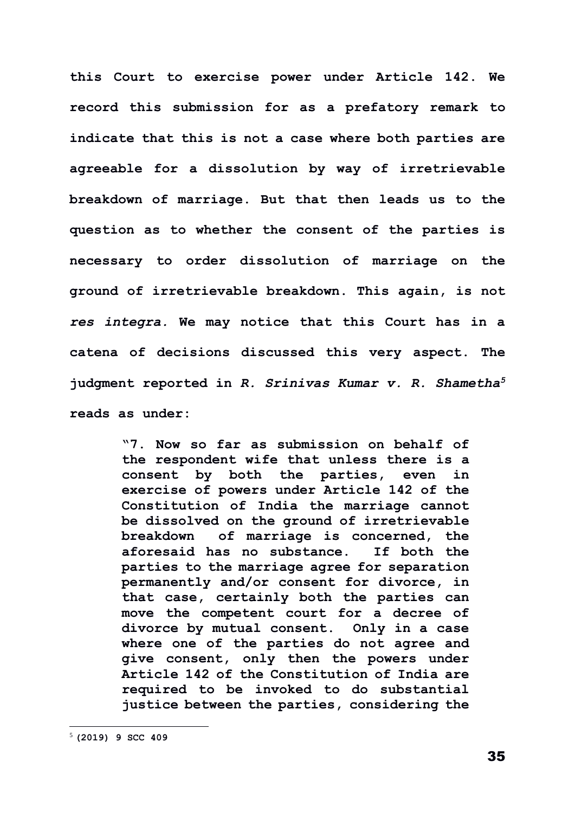**this Court to exercise power under Article 142. We record this submission for as a prefatory remark to indicate that this is not a case where both parties are agreeable for a dissolution by way of irretrievable breakdown of marriage. But that then leads us to the question as to whether the consent of the parties is necessary to order dissolution of marriage on the ground of irretrievable breakdown. This again, is not**  *res integra.* **We may notice that this Court has in a catena of decisions discussed this very aspect. The judgment reported in** *R. Srinivas Kumar v. R. Shametha<sup>5</sup>* **reads as under:**

> **"7. Now so far as submission on behalf of the respondent wife that unless there is a consent by both the parties, even in exercise of powers under Article 142 of the Constitution of India the marriage cannot be dissolved on the ground of irretrievable breakdown of marriage is concerned, the aforesaid has no substance. If both the parties to the marriage agree for separation permanently and/or consent for divorce, in that case, certainly both the parties can move the competent court for a decree of divorce by mutual consent. Only in a case where one of the parties do not agree and give consent, only then the powers under Article 142 of the Constitution of India are required to be invoked to do substantial justice between the parties, considering the**

<sup>5</sup> **(2019) 9 SCC 409**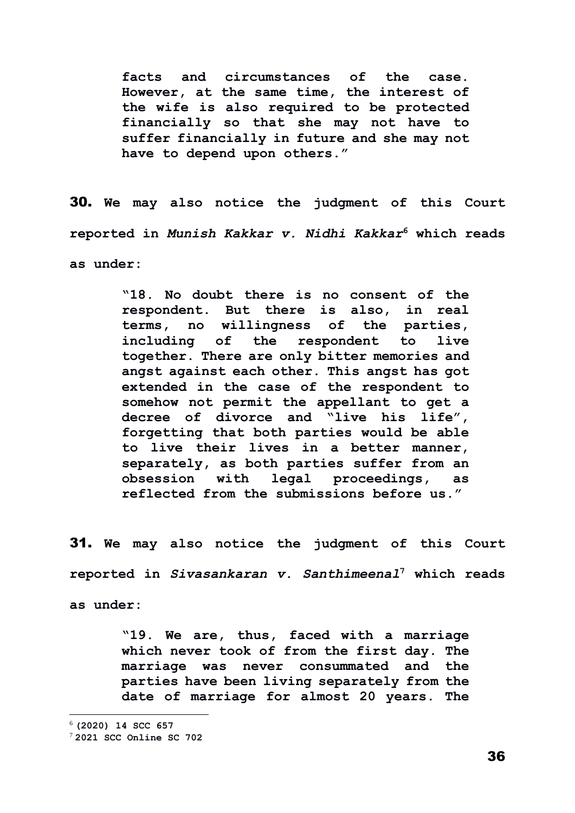**facts and circumstances of the case. However, at the same time, the interest of the wife is also required to be protected financially so that she may not have to suffer financially in future and she may not have to depend upon others."**

30. **We may also notice the judgment of this Court reported in** *Munish Kakkar v. Nidhi Kakkar***<sup>6</sup> which reads as under:**

> **"18. No doubt there is no consent of the respondent. But there is also, in real terms, no willingness of the parties, including of the respondent to live together. There are only bitter memories and angst against each other. This angst has got extended in the case of the respondent to somehow not permit the appellant to get a decree of divorce and "live his life", forgetting that both parties would be able to live their lives in a better manner, separately, as both parties suffer from an obsession with legal proceedings, as reflected from the submissions before us."**

31. **We may also notice the judgment of this Court reported in** *Sivasankaran v. Santhimeenal***<sup>7</sup> which reads as under:**

> **"19. We are, thus, faced with a marriage which never took of from the first day. The marriage was never consummated and the parties have been living separately from the date of marriage for almost 20 years. The**

<sup>6</sup> **(2020) 14 SCC 657**

<sup>7</sup> **2021 SCC Online SC 702**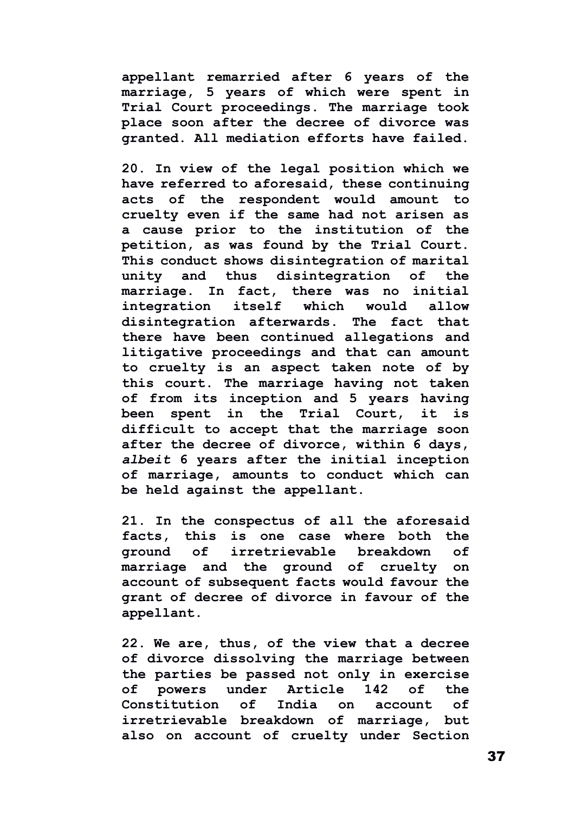**appellant remarried after 6 years of the marriage, 5 years of which were spent in Trial Court proceedings. The marriage took place soon after the decree of divorce was granted. All mediation efforts have failed.**

**20. In view of the legal position which we have referred to aforesaid, these continuing acts of the respondent would amount to cruelty even if the same had not arisen as a cause prior to the institution of the petition, as was found by the Trial Court. This conduct shows disintegration of marital unity and thus disintegration of the marriage. In fact, there was no initial integration itself which would allow disintegration afterwards. The fact that there have been continued allegations and litigative proceedings and that can amount to cruelty is an aspect taken note of by this court. The marriage having not taken of from its inception and 5 years having been spent in the Trial Court, it is difficult to accept that the marriage soon after the decree of divorce, within 6 days,**  *albeit* **6 years after the initial inception of marriage, amounts to conduct which can be held against the appellant.**

**21. In the conspectus of all the aforesaid facts, this is one case where both the ground of irretrievable breakdown of marriage and the ground of cruelty on account of subsequent facts would favour the grant of decree of divorce in favour of the appellant.**

**22. We are, thus, of the view that a decree of divorce dissolving the marriage between the parties be passed not only in exercise of powers under Article 142 of the Constitution of India on account of irretrievable breakdown of marriage, but also on account of cruelty under Section**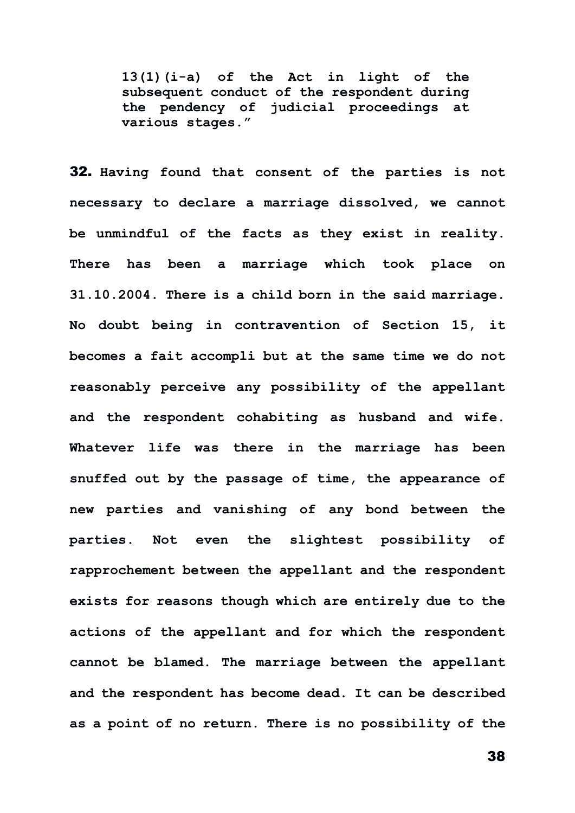**13(1)(i-a) of the Act in light of the subsequent conduct of the respondent during the pendency of judicial proceedings at various stages."**

32. **Having found that consent of the parties is not necessary to declare a marriage dissolved, we cannot be unmindful of the facts as they exist in reality. There has been a marriage which took place on 31.10.2004. There is a child born in the said marriage. No doubt being in contravention of Section 15, it becomes a fait accompli but at the same time we do not reasonably perceive any possibility of the appellant and the respondent cohabiting as husband and wife. Whatever life was there in the marriage has been snuffed out by the passage of time, the appearance of new parties and vanishing of any bond between the parties. Not even the slightest possibility of rapprochement between the appellant and the respondent exists for reasons though which are entirely due to the actions of the appellant and for which the respondent cannot be blamed. The marriage between the appellant and the respondent has become dead. It can be described as a point of no return. There is no possibility of the**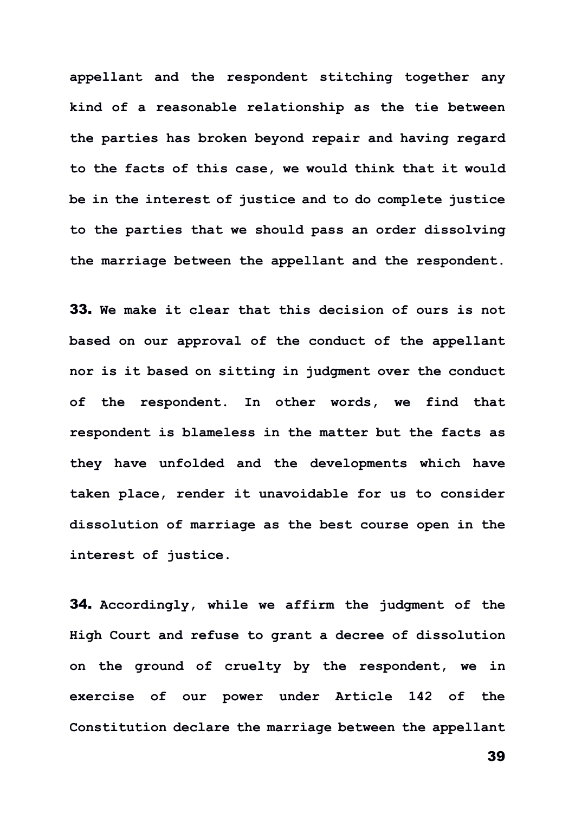**appellant and the respondent stitching together any kind of a reasonable relationship as the tie between the parties has broken beyond repair and having regard to the facts of this case, we would think that it would be in the interest of justice and to do complete justice to the parties that we should pass an order dissolving the marriage between the appellant and the respondent.**

33. **We make it clear that this decision of ours is not based on our approval of the conduct of the appellant nor is it based on sitting in judgment over the conduct of the respondent. In other words, we find that respondent is blameless in the matter but the facts as they have unfolded and the developments which have taken place, render it unavoidable for us to consider dissolution of marriage as the best course open in the interest of justice.** 

34. **Accordingly, while we affirm the judgment of the High Court and refuse to grant a decree of dissolution on the ground of cruelty by the respondent, we in exercise of our power under Article 142 of the Constitution declare the marriage between the appellant**